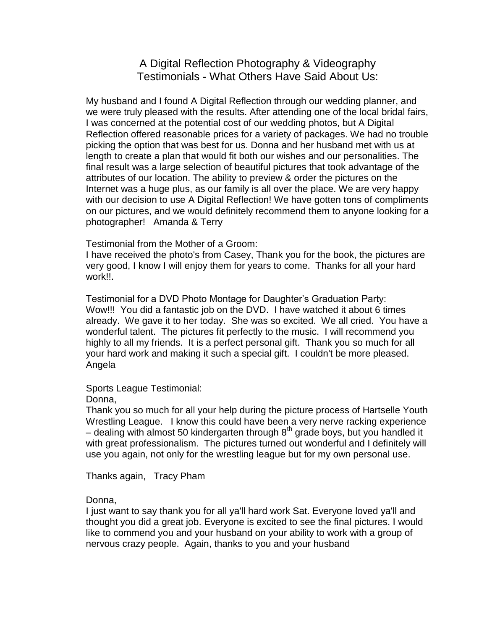A Digital Reflection Photography & Videography Testimonials - What Others Have Said About Us:

My husband and I found A Digital Reflection through our wedding planner, and we were truly pleased with the results. After attending one of the local bridal fairs, I was concerned at the potential cost of our wedding photos, but A Digital Reflection offered reasonable prices for a variety of packages. We had no trouble picking the option that was best for us. Donna and her husband met with us at length to create a plan that would fit both our wishes and our personalities. The final result was a large selection of beautiful pictures that took advantage of the attributes of our location. The ability to preview & order the pictures on the Internet was a huge plus, as our family is all over the place. We are very happy with our decision to use A Digital Reflection! We have gotten tons of compliments on our pictures, and we would definitely recommend them to anyone looking for a photographer! Amanda & Terry

Testimonial from the Mother of a Groom:

I have received the photo's from Casey, Thank you for the book, the pictures are very good, I know I will enjoy them for years to come. Thanks for all your hard work!!.

Testimonial for a DVD Photo Montage for Daughter's Graduation Party: Wow!!! You did a fantastic job on the DVD. I have watched it about 6 times already. We gave it to her today. She was so excited. We all cried. You have a wonderful talent. The pictures fit perfectly to the music. I will recommend you highly to all my friends. It is a perfect personal gift. Thank you so much for all your hard work and making it such a special gift. I couldn't be more pleased. Angela

Sports League Testimonial:

Donna,

Thank you so much for all your help during the picture process of Hartselle Youth Wrestling League. I know this could have been a very nerve racking experience  $-$  dealing with almost 50 kindergarten through  $8<sup>th</sup>$  grade boys, but you handled it with great professionalism. The pictures turned out wonderful and I definitely will use you again, not only for the wrestling league but for my own personal use.

Thanks again, Tracy Pham

Donna,

I just want to say thank you for all ya'll hard work Sat. Everyone loved ya'll and thought you did a great job. Everyone is excited to see the final pictures. I would like to commend you and your husband on your ability to work with a group of nervous crazy people. Again, thanks to you and your husband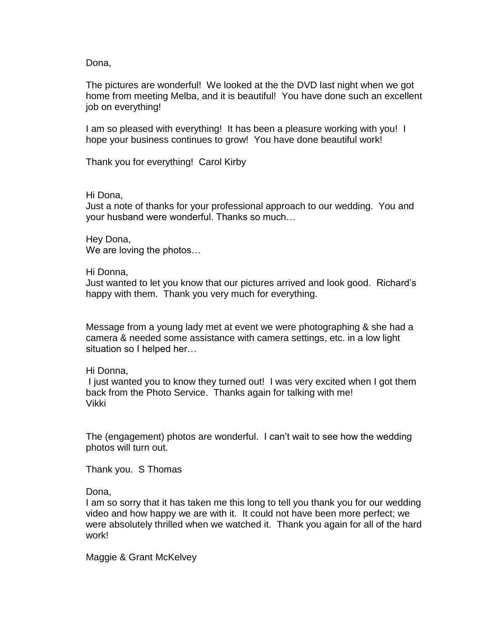Dona,

The pictures are wonderful! We looked at the the DVD last night when we got home from meeting Melba, and it is beautiful! You have done such an excellent job on everything!

I am so pleased with everything! It has been a pleasure working with you! I hope your business continues to grow! You have done beautiful work!

Thank you for everything! Carol Kirby

### Hi Dona,

Just a note of thanks for your professional approach to our wedding. You and your husband were wonderful. Thanks so much…

Hey Dona, We are loving the photos…

Hi Donna,

Just wanted to let you know that our pictures arrived and look good. Richard's happy with them. Thank you very much for everything.

Message from a young lady met at event we were photographing & she had a camera & needed some assistance with camera settings, etc. in a low light situation so I helped her…

Hi Donna,

I just wanted you to know they turned out! I was very excited when I got them back from the Photo Service. Thanks again for talking with me! Vikki

The (engagement) photos are wonderful. I can't wait to see how the wedding photos will turn out.

Thank you. S Thomas

Dona,

I am so sorry that it has taken me this long to tell you thank you for our wedding video and how happy we are with it. It could not have been more perfect; we were absolutely thrilled when we watched it. Thank you again for all of the hard work!

Maggie & Grant McKelvey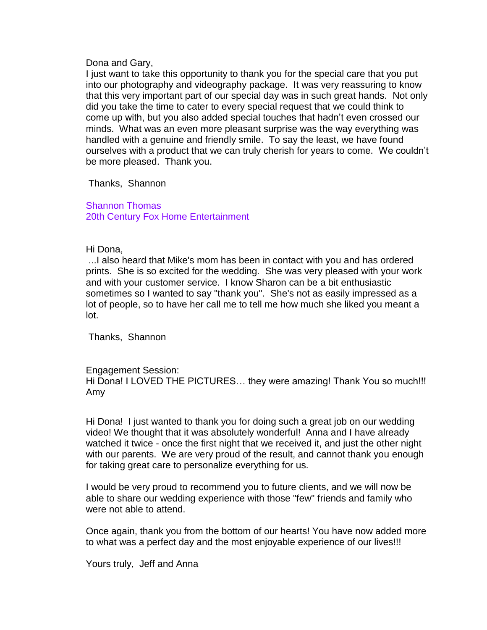Dona and Gary,

I just want to take this opportunity to thank you for the special care that you put into our photography and videography package. It was very reassuring to know that this very important part of our special day was in such great hands. Not only did you take the time to cater to every special request that we could think to come up with, but you also added special touches that hadn't even crossed our minds. What was an even more pleasant surprise was the way everything was handled with a genuine and friendly smile. To say the least, we have found ourselves with a product that we can truly cherish for years to come. We couldn't be more pleased. Thank you.

Thanks, Shannon

Shannon Thomas 20th Century Fox Home Entertainment

Hi Dona,

...I also heard that Mike's mom has been in contact with you and has ordered prints. She is so excited for the wedding. She was very pleased with your work and with your customer service. I know Sharon can be a bit enthusiastic sometimes so I wanted to say "thank you". She's not as easily impressed as a lot of people, so to have her call me to tell me how much she liked you meant a lot.

Thanks, Shannon

Engagement Session:

Hi Dona! I LOVED THE PICTURES… they were amazing! Thank You so much!!! Amy

Hi Dona! I just wanted to thank you for doing such a great job on our wedding video! We thought that it was absolutely wonderful! Anna and I have already watched it twice - once the first night that we received it, and just the other night with our parents. We are very proud of the result, and cannot thank you enough for taking great care to personalize everything for us.

I would be very proud to recommend you to future clients, and we will now be able to share our wedding experience with those "few" friends and family who were not able to attend.

Once again, thank you from the bottom of our hearts! You have now added more to what was a perfect day and the most enjoyable experience of our lives!!!

Yours truly, Jeff and Anna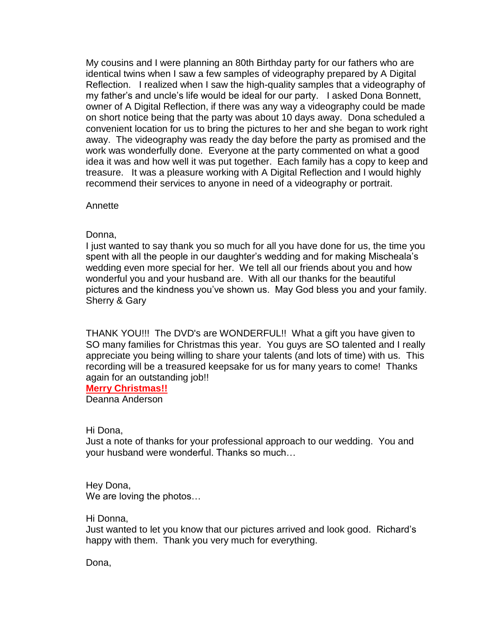My cousins and I were planning an 80th Birthday party for our fathers who are identical twins when I saw a few samples of videography prepared by A Digital Reflection. I realized when I saw the high-quality samples that a videography of my father's and uncle's life would be ideal for our party. I asked Dona Bonnett, owner of A Digital Reflection, if there was any way a videography could be made on short notice being that the party was about 10 days away. Dona scheduled a convenient location for us to bring the pictures to her and she began to work right away. The videography was ready the day before the party as promised and the work was wonderfully done. Everyone at the party commented on what a good idea it was and how well it was put together. Each family has a copy to keep and treasure. It was a pleasure working with A Digital Reflection and I would highly recommend their services to anyone in need of a videography or portrait.

Annette

Donna,

I just wanted to say thank you so much for all you have done for us, the time you spent with all the people in our daughter's wedding and for making Mischeala's wedding even more special for her. We tell all our friends about you and how wonderful you and your husband are. With all our thanks for the beautiful pictures and the kindness you've shown us. May God bless you and your family. Sherry & Gary

THANK YOU!!! The DVD's are WONDERFUL!! What a gift you have given to SO many families for Christmas this year. You guys are SO talented and I really appreciate you being willing to share your talents (and lots of time) with us. This recording will be a treasured keepsake for us for many years to come! Thanks again for an outstanding job!!

**Merry Christmas!!**

Deanna Anderson

Hi Dona,

Just a note of thanks for your professional approach to our wedding. You and your husband were wonderful. Thanks so much…

Hey Dona, We are loving the photos...

Hi Donna,

Just wanted to let you know that our pictures arrived and look good. Richard's happy with them. Thank you very much for everything.

Dona,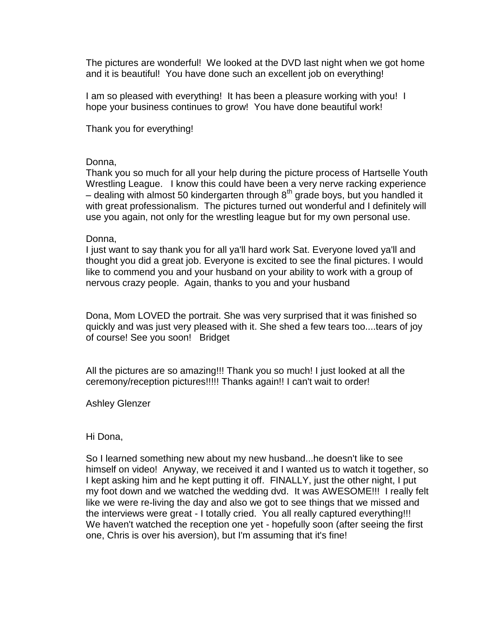The pictures are wonderful! We looked at the DVD last night when we got home and it is beautiful! You have done such an excellent job on everything!

I am so pleased with everything! It has been a pleasure working with you! I hope your business continues to grow! You have done beautiful work!

Thank you for everything!

## Donna,

Thank you so much for all your help during the picture process of Hartselle Youth Wrestling League. I know this could have been a very nerve racking experience – dealing with almost 50 kindergarten through  $8<sup>th</sup>$  grade boys, but you handled it with great professionalism. The pictures turned out wonderful and I definitely will use you again, not only for the wrestling league but for my own personal use.

## Donna,

I just want to say thank you for all ya'll hard work Sat. Everyone loved ya'll and thought you did a great job. Everyone is excited to see the final pictures. I would like to commend you and your husband on your ability to work with a group of nervous crazy people. Again, thanks to you and your husband

Dona, Mom LOVED the portrait. She was very surprised that it was finished so quickly and was just very pleased with it. She shed a few tears too....tears of joy of course! See you soon! Bridget

All the pictures are so amazing!!! Thank you so much! I just looked at all the ceremony/reception pictures!!!!! Thanks again!! I can't wait to order!

Ashley Glenzer

# Hi Dona,

So I learned something new about my new husband...he doesn't like to see himself on video! Anyway, we received it and I wanted us to watch it together, so I kept asking him and he kept putting it off. FINALLY, just the other night, I put my foot down and we watched the wedding dvd. It was AWESOME!!! I really felt like we were re-living the day and also we got to see things that we missed and the interviews were great - I totally cried. You all really captured everything!!! We haven't watched the reception one yet - hopefully soon (after seeing the first one, Chris is over his aversion), but I'm assuming that it's fine!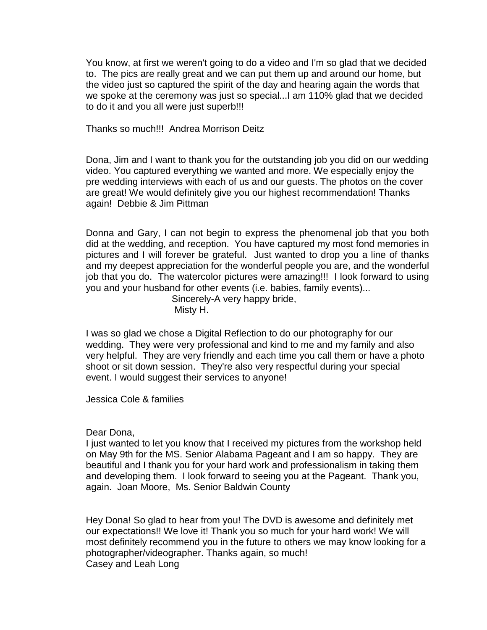You know, at first we weren't going to do a video and I'm so glad that we decided to. The pics are really great and we can put them up and around our home, but the video just so captured the spirit of the day and hearing again the words that we spoke at the ceremony was just so special...I am 110% glad that we decided to do it and you all were just superb!!!

Thanks so much!!! Andrea Morrison Deitz

Dona, Jim and I want to thank you for the outstanding job you did on our wedding video. You captured everything we wanted and more. We especially enjoy the pre wedding interviews with each of us and our guests. The photos on the cover are great! We would definitely give you our highest recommendation! Thanks again! Debbie & Jim Pittman

Donna and Gary, I can not begin to express the phenomenal job that you both did at the wedding, and reception. You have captured my most fond memories in pictures and I will forever be grateful. Just wanted to drop you a line of thanks and my deepest appreciation for the wonderful people you are, and the wonderful job that you do. The watercolor pictures were amazing!!! I look forward to using you and your husband for other events (i.e. babies, family events)...

Sincerely-A very happy bride, Misty H.

I was so glad we chose a Digital Reflection to do our photography for our wedding. They were very professional and kind to me and my family and also very helpful. They are very friendly and each time you call them or have a photo shoot or sit down session. They're also very respectful during your special event. I would suggest their services to anyone!

Jessica Cole & families

## Dear Dona,

I just wanted to let you know that I received my pictures from the workshop held on May 9th for the MS. Senior Alabama Pageant and I am so happy. They are beautiful and I thank you for your hard work and professionalism in taking them and developing them. I look forward to seeing you at the Pageant. Thank you, again. Joan Moore, Ms. Senior Baldwin County

Hey Dona! So glad to hear from you! The DVD is awesome and definitely met our expectations!! We love it! Thank you so much for your hard work! We will most definitely recommend you in the future to others we may know looking for a photographer/videographer. Thanks again, so much! Casey and Leah Long